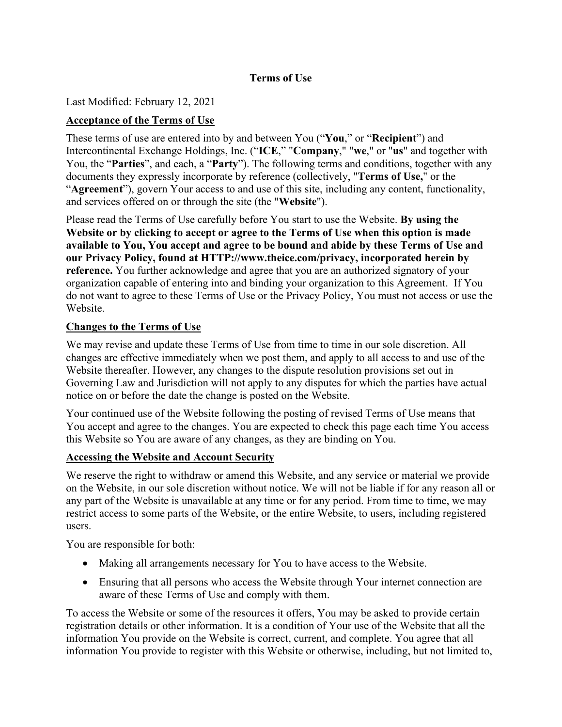# **Terms of Use**

Last Modified: February 12, 2021

## **Acceptance of the Terms of Use**

These terms of use are entered into by and between You ("**You**," or "**Recipient**") and Intercontinental Exchange Holdings, Inc. ("**ICE**," "**Company**," "**we**," or "**us**" and together with You, the "**Parties**", and each, a "**Party**"). The following terms and conditions, together with any documents they expressly incorporate by reference (collectively, "**Terms of Use,**" or the "**Agreement**"), govern Your access to and use of this site, including any content, functionality, and services offered on or through the site (the "**Website**").

Please read the Terms of Use carefully before You start to use the Website. **By using the Website or by clicking to accept or agree to the Terms of Use when this option is made available to You, You accept and agree to be bound and abide by these Terms of Use and our Privacy Policy, found at HTTP://www.theice.com/privacy, incorporated herein by reference.** You further acknowledge and agree that you are an authorized signatory of your organization capable of entering into and binding your organization to this Agreement. If You do not want to agree to these Terms of Use or the Privacy Policy, You must not access or use the Website.

### **Changes to the Terms of Use**

We may revise and update these Terms of Use from time to time in our sole discretion. All changes are effective immediately when we post them, and apply to all access to and use of the Website thereafter. However, any changes to the dispute resolution provisions set out in [Governing Law and Jurisdiction](#page-9-0) will not apply to any disputes for which the parties have actual notice on or before the date the change is posted on the Website.

Your continued use of the Website following the posting of revised Terms of Use means that You accept and agree to the changes. You are expected to check this page each time You access this Website so You are aware of any changes, as they are binding on You.

### **Accessing the Website and Account Security**

We reserve the right to withdraw or amend this Website, and any service or material we provide on the Website, in our sole discretion without notice. We will not be liable if for any reason all or any part of the Website is unavailable at any time or for any period. From time to time, we may restrict access to some parts of the Website, or the entire Website, to users, including registered users.

You are responsible for both:

- Making all arrangements necessary for You to have access to the Website.
- Ensuring that all persons who access the Website through Your internet connection are aware of these Terms of Use and comply with them.

To access the Website or some of the resources it offers, You may be asked to provide certain registration details or other information. It is a condition of Your use of the Website that all the information You provide on the Website is correct, current, and complete. You agree that all information You provide to register with this Website or otherwise, including, but not limited to,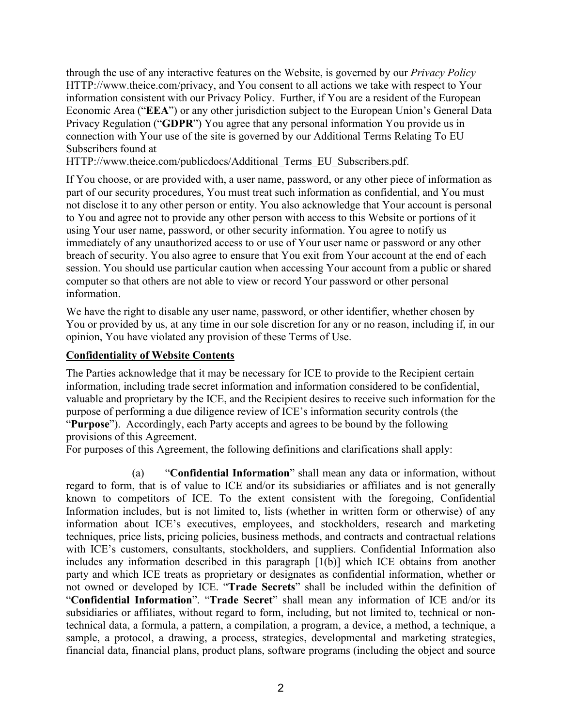through the use of any interactive features on the Website, is governed by our *Privacy Policy* HTTP://www.theice.com/privacy, and You consent to all actions we take with respect to Your information consistent with our Privacy Policy. Further, if You are a resident of the European Economic Area ("**EEA**") or any other jurisdiction subject to the European Union's General Data Privacy Regulation ("**GDPR**") You agree that any personal information You provide us in connection with Your use of the site is governed by our Additional Terms Relating To EU Subscribers found at

HTTP://www.theice.com/publicdocs/Additional Terms EU Subscribers.pdf.

If You choose, or are provided with, a user name, password, or any other piece of information as part of our security procedures, You must treat such information as confidential, and You must not disclose it to any other person or entity. You also acknowledge that Your account is personal to You and agree not to provide any other person with access to this Website or portions of it using Your user name, password, or other security information. You agree to notify us immediately of any unauthorized access to or use of Your user name or password or any other breach of security. You also agree to ensure that You exit from Your account at the end of each session. You should use particular caution when accessing Your account from a public or shared computer so that others are not able to view or record Your password or other personal information.

We have the right to disable any user name, password, or other identifier, whether chosen by You or provided by us, at any time in our sole discretion for any or no reason, including if, in our opinion, You have violated any provision of these Terms of Use.

#### **Confidentiality of Website Contents**

The Parties acknowledge that it may be necessary for ICE to provide to the Recipient certain information, including trade secret information and information considered to be confidential, valuable and proprietary by the ICE, and the Recipient desires to receive such information for the purpose of performing a due diligence review of ICE's information security controls (the "**Purpose**"). Accordingly, each Party accepts and agrees to be bound by the following provisions of this Agreement.

For purposes of this Agreement, the following definitions and clarifications shall apply:

(a) "**Confidential Information**" shall mean any data or information, without regard to form, that is of value to ICE and/or its subsidiaries or affiliates and is not generally known to competitors of ICE. To the extent consistent with the foregoing, Confidential Information includes, but is not limited to, lists (whether in written form or otherwise) of any information about ICE's executives, employees, and stockholders, research and marketing techniques, price lists, pricing policies, business methods, and contracts and contractual relations with ICE's customers, consultants, stockholders, and suppliers. Confidential Information also includes any information described in this paragraph [1(b)] which ICE obtains from another party and which ICE treats as proprietary or designates as confidential information, whether or not owned or developed by ICE. "**Trade Secrets**" shall be included within the definition of "**Confidential Information**". "**Trade Secret**" shall mean any information of ICE and/or its subsidiaries or affiliates, without regard to form, including, but not limited to, technical or nontechnical data, a formula, a pattern, a compilation, a program, a device, a method, a technique, a sample, a protocol, a drawing, a process, strategies, developmental and marketing strategies, financial data, financial plans, product plans, software programs (including the object and source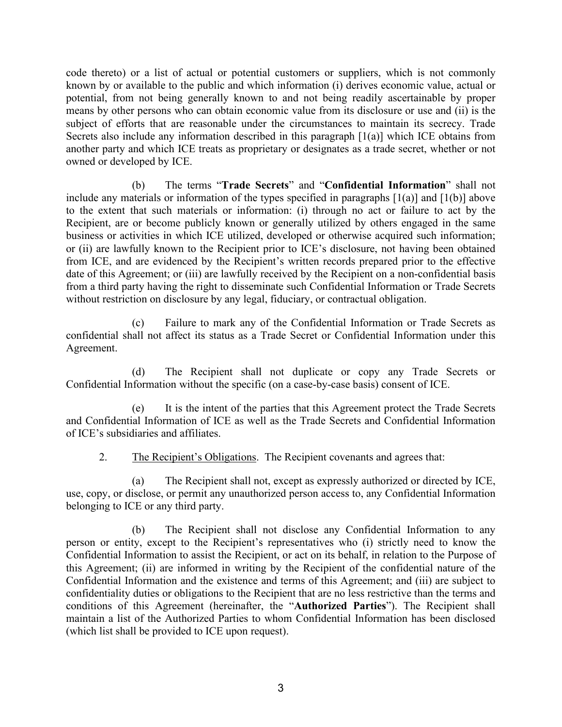code thereto) or a list of actual or potential customers or suppliers, which is not commonly known by or available to the public and which information (i) derives economic value, actual or potential, from not being generally known to and not being readily ascertainable by proper means by other persons who can obtain economic value from its disclosure or use and (ii) is the subject of efforts that are reasonable under the circumstances to maintain its secrecy. Trade Secrets also include any information described in this paragraph [1(a)] which ICE obtains from another party and which ICE treats as proprietary or designates as a trade secret, whether or not owned or developed by ICE.

(b) The terms "**Trade Secrets**" and "**Confidential Information**" shall not include any materials or information of the types specified in paragraphs [1(a)] and [1(b)] above to the extent that such materials or information: (i) through no act or failure to act by the Recipient, are or become publicly known or generally utilized by others engaged in the same business or activities in which ICE utilized, developed or otherwise acquired such information; or (ii) are lawfully known to the Recipient prior to ICE's disclosure, not having been obtained from ICE, and are evidenced by the Recipient's written records prepared prior to the effective date of this Agreement; or (iii) are lawfully received by the Recipient on a non-confidential basis from a third party having the right to disseminate such Confidential Information or Trade Secrets without restriction on disclosure by any legal, fiduciary, or contractual obligation.

(c) Failure to mark any of the Confidential Information or Trade Secrets as confidential shall not affect its status as a Trade Secret or Confidential Information under this Agreement.

(d) The Recipient shall not duplicate or copy any Trade Secrets or Confidential Information without the specific (on a case-by-case basis) consent of ICE.

(e) It is the intent of the parties that this Agreement protect the Trade Secrets and Confidential Information of ICE as well as the Trade Secrets and Confidential Information of ICE's subsidiaries and affiliates.

2. The Recipient's Obligations. The Recipient covenants and agrees that:

(a) The Recipient shall not, except as expressly authorized or directed by ICE, use, copy, or disclose, or permit any unauthorized person access to, any Confidential Information belonging to ICE or any third party.

(b) The Recipient shall not disclose any Confidential Information to any person or entity, except to the Recipient's representatives who (i) strictly need to know the Confidential Information to assist the Recipient, or act on its behalf, in relation to the Purpose of this Agreement; (ii) are informed in writing by the Recipient of the confidential nature of the Confidential Information and the existence and terms of this Agreement; and (iii) are subject to confidentiality duties or obligations to the Recipient that are no less restrictive than the terms and conditions of this Agreement (hereinafter, the "**Authorized Parties**"). The Recipient shall maintain a list of the Authorized Parties to whom Confidential Information has been disclosed (which list shall be provided to ICE upon request).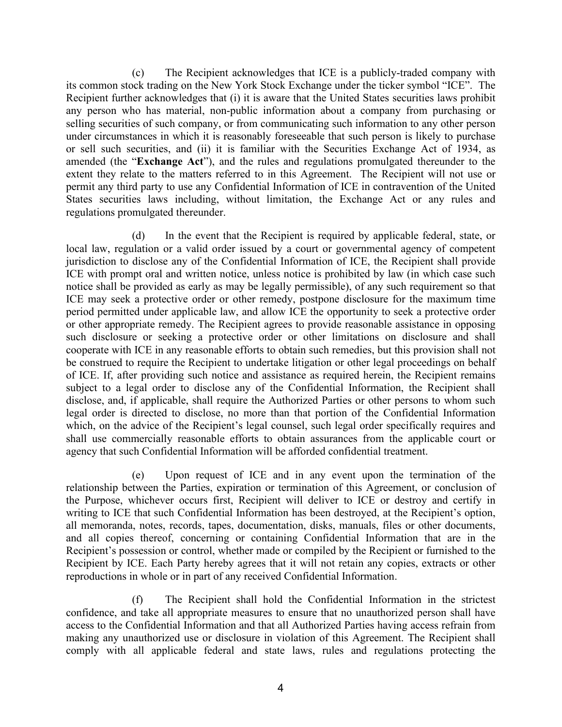(c) The Recipient acknowledges that ICE is a publicly-traded company with its common stock trading on the New York Stock Exchange under the ticker symbol "ICE". The Recipient further acknowledges that (i) it is aware that the United States securities laws prohibit any person who has material, non-public information about a company from purchasing or selling securities of such company, or from communicating such information to any other person under circumstances in which it is reasonably foreseeable that such person is likely to purchase or sell such securities, and (ii) it is familiar with the Securities Exchange Act of 1934, as amended (the "**Exchange Act**"), and the rules and regulations promulgated thereunder to the extent they relate to the matters referred to in this Agreement. The Recipient will not use or permit any third party to use any Confidential Information of ICE in contravention of the United States securities laws including, without limitation, the Exchange Act or any rules and regulations promulgated thereunder.

(d) In the event that the Recipient is required by applicable federal, state, or local law, regulation or a valid order issued by a court or governmental agency of competent jurisdiction to disclose any of the Confidential Information of ICE, the Recipient shall provide ICE with prompt oral and written notice, unless notice is prohibited by law (in which case such notice shall be provided as early as may be legally permissible), of any such requirement so that ICE may seek a protective order or other remedy, postpone disclosure for the maximum time period permitted under applicable law, and allow ICE the opportunity to seek a protective order or other appropriate remedy. The Recipient agrees to provide reasonable assistance in opposing such disclosure or seeking a protective order or other limitations on disclosure and shall cooperate with ICE in any reasonable efforts to obtain such remedies, but this provision shall not be construed to require the Recipient to undertake litigation or other legal proceedings on behalf of ICE. If, after providing such notice and assistance as required herein, the Recipient remains subject to a legal order to disclose any of the Confidential Information, the Recipient shall disclose, and, if applicable, shall require the Authorized Parties or other persons to whom such legal order is directed to disclose, no more than that portion of the Confidential Information which, on the advice of the Recipient's legal counsel, such legal order specifically requires and shall use commercially reasonable efforts to obtain assurances from the applicable court or agency that such Confidential Information will be afforded confidential treatment.

(e) Upon request of ICE and in any event upon the termination of the relationship between the Parties, expiration or termination of this Agreement, or conclusion of the Purpose, whichever occurs first, Recipient will deliver to ICE or destroy and certify in writing to ICE that such Confidential Information has been destroyed, at the Recipient's option, all memoranda, notes, records, tapes, documentation, disks, manuals, files or other documents, and all copies thereof, concerning or containing Confidential Information that are in the Recipient's possession or control, whether made or compiled by the Recipient or furnished to the Recipient by ICE. Each Party hereby agrees that it will not retain any copies, extracts or other reproductions in whole or in part of any received Confidential Information.

(f) The Recipient shall hold the Confidential Information in the strictest confidence, and take all appropriate measures to ensure that no unauthorized person shall have access to the Confidential Information and that all Authorized Parties having access refrain from making any unauthorized use or disclosure in violation of this Agreement. The Recipient shall comply with all applicable federal and state laws, rules and regulations protecting the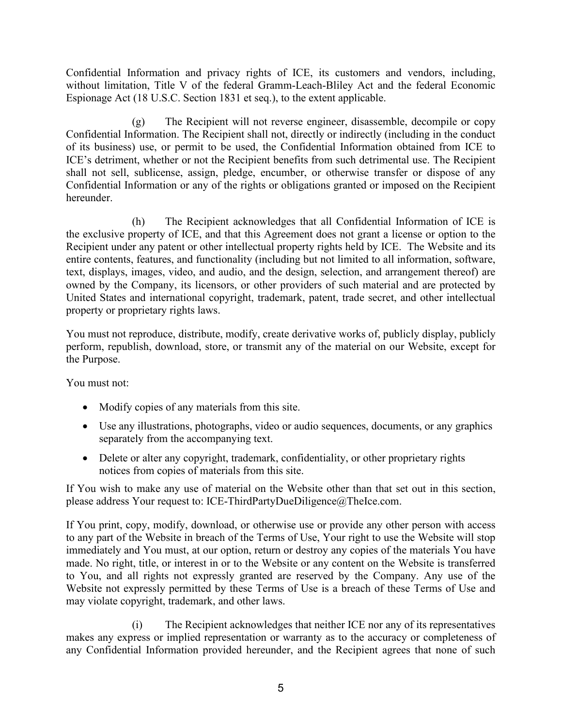Confidential Information and privacy rights of ICE, its customers and vendors, including, without limitation, Title V of the federal Gramm-Leach-Bliley Act and the federal Economic Espionage Act (18 U.S.C. Section 1831 et seq.), to the extent applicable.

(g) The Recipient will not reverse engineer, disassemble, decompile or copy Confidential Information. The Recipient shall not, directly or indirectly (including in the conduct of its business) use, or permit to be used, the Confidential Information obtained from ICE to ICE's detriment, whether or not the Recipient benefits from such detrimental use. The Recipient shall not sell, sublicense, assign, pledge, encumber, or otherwise transfer or dispose of any Confidential Information or any of the rights or obligations granted or imposed on the Recipient hereunder.

(h) The Recipient acknowledges that all Confidential Information of ICE is the exclusive property of ICE, and that this Agreement does not grant a license or option to the Recipient under any patent or other intellectual property rights held by ICE. The Website and its entire contents, features, and functionality (including but not limited to all information, software, text, displays, images, video, and audio, and the design, selection, and arrangement thereof) are owned by the Company, its licensors, or other providers of such material and are protected by United States and international copyright, trademark, patent, trade secret, and other intellectual property or proprietary rights laws.

You must not reproduce, distribute, modify, create derivative works of, publicly display, publicly perform, republish, download, store, or transmit any of the material on our Website, except for the Purpose.

You must not:

- Modify copies of any materials from this site.
- Use any illustrations, photographs, video or audio sequences, documents, or any graphics separately from the accompanying text.
- Delete or alter any copyright, trademark, confidentiality, or other proprietary rights notices from copies of materials from this site.

If You wish to make any use of material on the Website other than that set out in this section, please address Your request to: ICE-ThirdPartyDueDiligence@TheIce.com.

If You print, copy, modify, download, or otherwise use or provide any other person with access to any part of the Website in breach of the Terms of Use, Your right to use the Website will stop immediately and You must, at our option, return or destroy any copies of the materials You have made. No right, title, or interest in or to the Website or any content on the Website is transferred to You, and all rights not expressly granted are reserved by the Company. Any use of the Website not expressly permitted by these Terms of Use is a breach of these Terms of Use and may violate copyright, trademark, and other laws.

(i) The Recipient acknowledges that neither ICE nor any of its representatives makes any express or implied representation or warranty as to the accuracy or completeness of any Confidential Information provided hereunder, and the Recipient agrees that none of such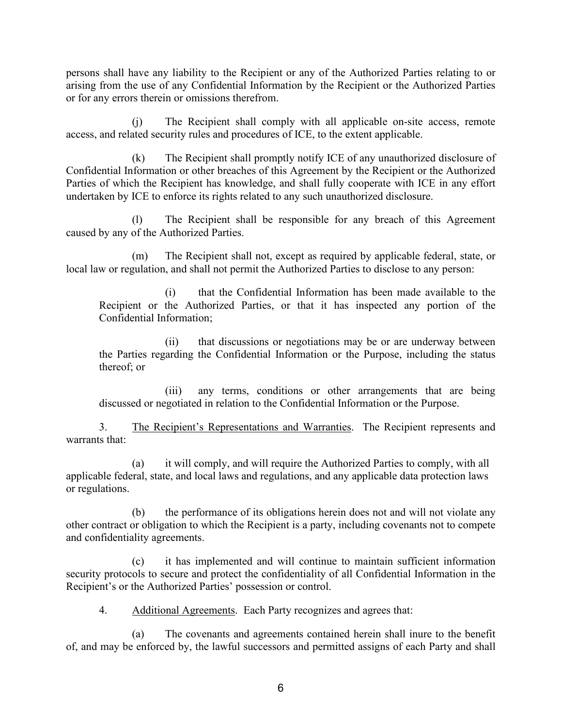persons shall have any liability to the Recipient or any of the Authorized Parties relating to or arising from the use of any Confidential Information by the Recipient or the Authorized Parties or for any errors therein or omissions therefrom.

(j) The Recipient shall comply with all applicable on-site access, remote access, and related security rules and procedures of ICE, to the extent applicable.

(k) The Recipient shall promptly notify ICE of any unauthorized disclosure of Confidential Information or other breaches of this Agreement by the Recipient or the Authorized Parties of which the Recipient has knowledge, and shall fully cooperate with ICE in any effort undertaken by ICE to enforce its rights related to any such unauthorized disclosure.

(l) The Recipient shall be responsible for any breach of this Agreement caused by any of the Authorized Parties.

(m) The Recipient shall not, except as required by applicable federal, state, or local law or regulation, and shall not permit the Authorized Parties to disclose to any person:

(i) that the Confidential Information has been made available to the Recipient or the Authorized Parties, or that it has inspected any portion of the Confidential Information;

(ii) that discussions or negotiations may be or are underway between the Parties regarding the Confidential Information or the Purpose, including the status thereof; or

(iii) any terms, conditions or other arrangements that are being discussed or negotiated in relation to the Confidential Information or the Purpose.

3. The Recipient's Representations and Warranties. The Recipient represents and warrants that:

(a) it will comply, and will require the Authorized Parties to comply, with all applicable federal, state, and local laws and regulations, and any applicable data protection laws or regulations.

(b) the performance of its obligations herein does not and will not violate any other contract or obligation to which the Recipient is a party, including covenants not to compete and confidentiality agreements.

(c) it has implemented and will continue to maintain sufficient information security protocols to secure and protect the confidentiality of all Confidential Information in the Recipient's or the Authorized Parties' possession or control.

4. Additional Agreements. Each Party recognizes and agrees that:

(a) The covenants and agreements contained herein shall inure to the benefit of, and may be enforced by, the lawful successors and permitted assigns of each Party and shall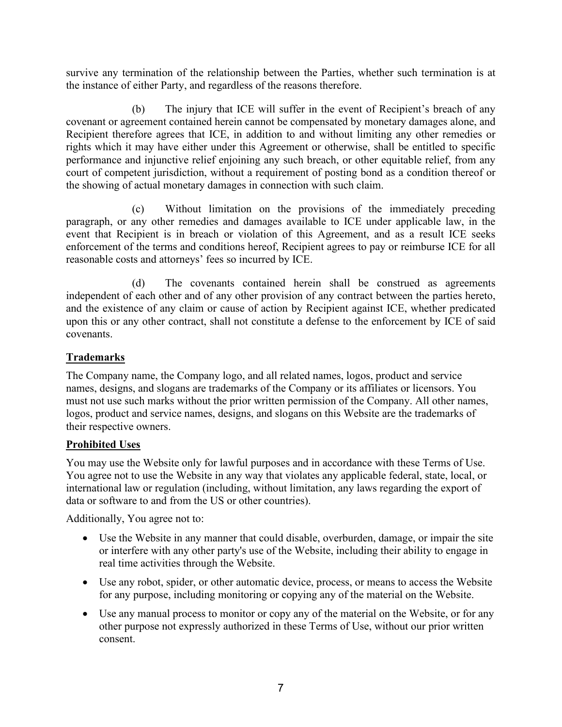survive any termination of the relationship between the Parties, whether such termination is at the instance of either Party, and regardless of the reasons therefore.

(b) The injury that ICE will suffer in the event of Recipient's breach of any covenant or agreement contained herein cannot be compensated by monetary damages alone, and Recipient therefore agrees that ICE, in addition to and without limiting any other remedies or rights which it may have either under this Agreement or otherwise, shall be entitled to specific performance and injunctive relief enjoining any such breach, or other equitable relief, from any court of competent jurisdiction, without a requirement of posting bond as a condition thereof or the showing of actual monetary damages in connection with such claim.

(c) Without limitation on the provisions of the immediately preceding paragraph, or any other remedies and damages available to ICE under applicable law, in the event that Recipient is in breach or violation of this Agreement, and as a result ICE seeks enforcement of the terms and conditions hereof, Recipient agrees to pay or reimburse ICE for all reasonable costs and attorneys' fees so incurred by ICE.

(d) The covenants contained herein shall be construed as agreements independent of each other and of any other provision of any contract between the parties hereto, and the existence of any claim or cause of action by Recipient against ICE, whether predicated upon this or any other contract, shall not constitute a defense to the enforcement by ICE of said covenants.

## **Trademarks**

The Company name, the Company logo, and all related names, logos, product and service names, designs, and slogans are trademarks of the Company or its affiliates or licensors. You must not use such marks without the prior written permission of the Company. All other names, logos, product and service names, designs, and slogans on this Website are the trademarks of their respective owners.

### **Prohibited Uses**

You may use the Website only for lawful purposes and in accordance with these Terms of Use. You agree not to use the Website in any way that violates any applicable federal, state, local, or international law or regulation (including, without limitation, any laws regarding the export of data or software to and from the US or other countries).

Additionally, You agree not to:

- Use the Website in any manner that could disable, overburden, damage, or impair the site or interfere with any other party's use of the Website, including their ability to engage in real time activities through the Website.
- Use any robot, spider, or other automatic device, process, or means to access the Website for any purpose, including monitoring or copying any of the material on the Website.
- Use any manual process to monitor or copy any of the material on the Website, or for any other purpose not expressly authorized in these Terms of Use, without our prior written consent.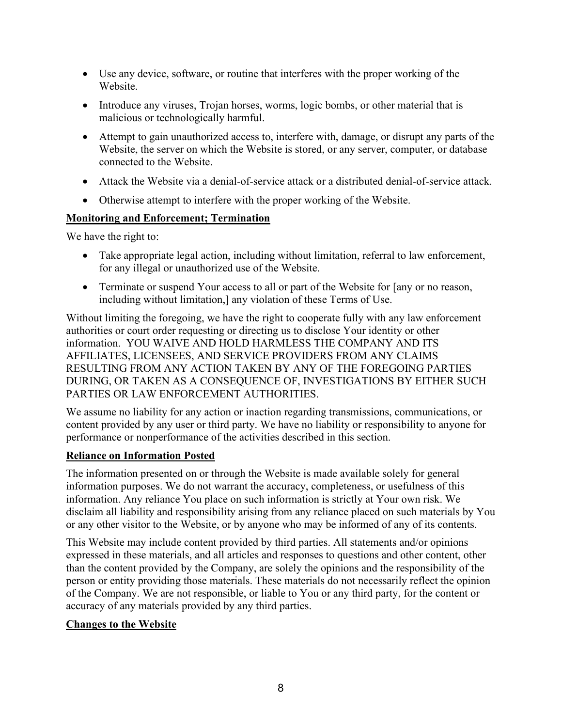- Use any device, software, or routine that interferes with the proper working of the Website.
- Introduce any viruses, Trojan horses, worms, logic bombs, or other material that is malicious or technologically harmful.
- Attempt to gain unauthorized access to, interfere with, damage, or disrupt any parts of the Website, the server on which the Website is stored, or any server, computer, or database connected to the Website.
- Attack the Website via a denial-of-service attack or a distributed denial-of-service attack.
- Otherwise attempt to interfere with the proper working of the Website.

### **Monitoring and Enforcement; Termination**

We have the right to:

- Take appropriate legal action, including without limitation, referral to law enforcement, for any illegal or unauthorized use of the Website.
- Terminate or suspend Your access to all or part of the Website for [any or no reason, including without limitation,] any violation of these Terms of Use.

Without limiting the foregoing, we have the right to cooperate fully with any law enforcement authorities or court order requesting or directing us to disclose Your identity or other information. YOU WAIVE AND HOLD HARMLESS THE COMPANY AND ITS AFFILIATES, LICENSEES, AND SERVICE PROVIDERS FROM ANY CLAIMS RESULTING FROM ANY ACTION TAKEN BY ANY OF THE FOREGOING PARTIES DURING, OR TAKEN AS A CONSEQUENCE OF, INVESTIGATIONS BY EITHER SUCH PARTIES OR LAW ENFORCEMENT AUTHORITIES.

We assume no liability for any action or inaction regarding transmissions, communications, or content provided by any user or third party. We have no liability or responsibility to anyone for performance or nonperformance of the activities described in this section.

#### **Reliance on Information Posted**

The information presented on or through the Website is made available solely for general information purposes. We do not warrant the accuracy, completeness, or usefulness of this information. Any reliance You place on such information is strictly at Your own risk. We disclaim all liability and responsibility arising from any reliance placed on such materials by You or any other visitor to the Website, or by anyone who may be informed of any of its contents.

This Website may include content provided by third parties. All statements and/or opinions expressed in these materials, and all articles and responses to questions and other content, other than the content provided by the Company, are solely the opinions and the responsibility of the person or entity providing those materials. These materials do not necessarily reflect the opinion of the Company. We are not responsible, or liable to You or any third party, for the content or accuracy of any materials provided by any third parties.

### **Changes to the Website**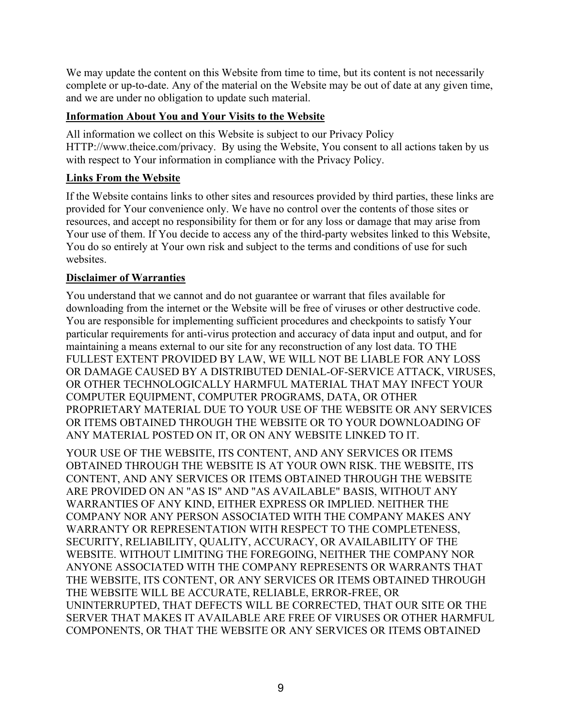We may update the content on this Website from time to time, but its content is not necessarily complete or up-to-date. Any of the material on the Website may be out of date at any given time, and we are under no obligation to update such material.

# **Information About You and Your Visits to the Website**

All information we collect on this Website is subject to our Privacy Policy HTTP://www.theice.com/privacy. By using the Website, You consent to all actions taken by us with respect to Your information in compliance with the Privacy Policy.

# **Links From the Website**

If the Website contains links to other sites and resources provided by third parties, these links are provided for Your convenience only. We have no control over the contents of those sites or resources, and accept no responsibility for them or for any loss or damage that may arise from Your use of them. If You decide to access any of the third-party websites linked to this Website, You do so entirely at Your own risk and subject to the terms and conditions of use for such websites.

## **Disclaimer of Warranties**

You understand that we cannot and do not guarantee or warrant that files available for downloading from the internet or the Website will be free of viruses or other destructive code. You are responsible for implementing sufficient procedures and checkpoints to satisfy Your particular requirements for anti-virus protection and accuracy of data input and output, and for maintaining a means external to our site for any reconstruction of any lost data. TO THE FULLEST EXTENT PROVIDED BY LAW, WE WILL NOT BE LIABLE FOR ANY LOSS OR DAMAGE CAUSED BY A DISTRIBUTED DENIAL-OF-SERVICE ATTACK, VIRUSES, OR OTHER TECHNOLOGICALLY HARMFUL MATERIAL THAT MAY INFECT YOUR COMPUTER EQUIPMENT, COMPUTER PROGRAMS, DATA, OR OTHER PROPRIETARY MATERIAL DUE TO YOUR USE OF THE WEBSITE OR ANY SERVICES OR ITEMS OBTAINED THROUGH THE WEBSITE OR TO YOUR DOWNLOADING OF ANY MATERIAL POSTED ON IT, OR ON ANY WEBSITE LINKED TO IT.

YOUR USE OF THE WEBSITE, ITS CONTENT, AND ANY SERVICES OR ITEMS OBTAINED THROUGH THE WEBSITE IS AT YOUR OWN RISK. THE WEBSITE, ITS CONTENT, AND ANY SERVICES OR ITEMS OBTAINED THROUGH THE WEBSITE ARE PROVIDED ON AN "AS IS" AND "AS AVAILABLE" BASIS, WITHOUT ANY WARRANTIES OF ANY KIND, EITHER EXPRESS OR IMPLIED. NEITHER THE COMPANY NOR ANY PERSON ASSOCIATED WITH THE COMPANY MAKES ANY WARRANTY OR REPRESENTATION WITH RESPECT TO THE COMPLETENESS, SECURITY, RELIABILITY, QUALITY, ACCURACY, OR AVAILABILITY OF THE WEBSITE. WITHOUT LIMITING THE FOREGOING, NEITHER THE COMPANY NOR ANYONE ASSOCIATED WITH THE COMPANY REPRESENTS OR WARRANTS THAT THE WEBSITE, ITS CONTENT, OR ANY SERVICES OR ITEMS OBTAINED THROUGH THE WEBSITE WILL BE ACCURATE, RELIABLE, ERROR-FREE, OR UNINTERRUPTED, THAT DEFECTS WILL BE CORRECTED, THAT OUR SITE OR THE SERVER THAT MAKES IT AVAILABLE ARE FREE OF VIRUSES OR OTHER HARMFUL COMPONENTS, OR THAT THE WEBSITE OR ANY SERVICES OR ITEMS OBTAINED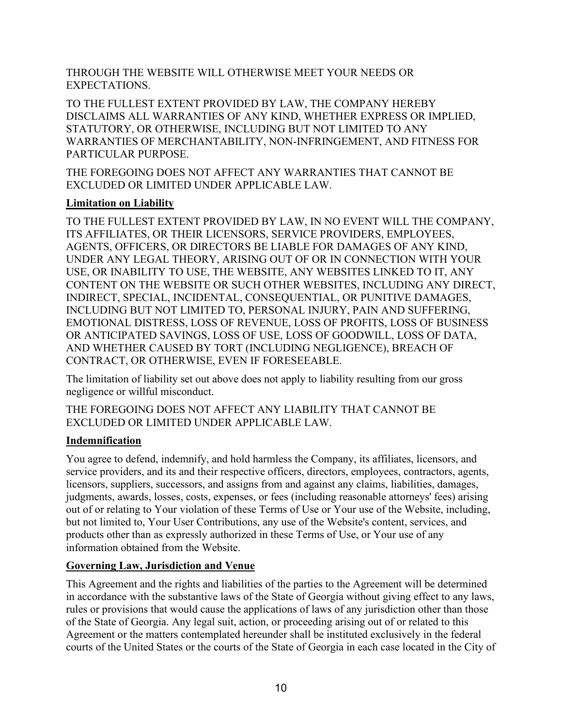THROUGH THE WEBSITE WILL OTHERWISE MEET YOUR NEEDS OR EXPECTATIONS.

TO THE FULLEST EXTENT PROVIDED BY LAW, THE COMPANY HEREBY DISCLAIMS ALL WARRANTIES OF ANY KIND, WHETHER EXPRESS OR IMPLIED, STATUTORY, OR OTHERWISE, INCLUDING BUT NOT LIMITED TO ANY WARRANTIES OF MERCHANTABILITY, NON-INFRINGEMENT, AND FITNESS FOR PARTICULAR PURPOSE.

THE FOREGOING DOES NOT AFFECT ANY WARRANTIES THAT CANNOT BE EXCLUDED OR LIMITED UNDER APPLICABLE LAW.

## **Limitation on Liability**

TO THE FULLEST EXTENT PROVIDED BY LAW, IN NO EVENT WILL THE COMPANY, ITS AFFILIATES, OR THEIR LICENSORS, SERVICE PROVIDERS, EMPLOYEES, AGENTS, OFFICERS, OR DIRECTORS BE LIABLE FOR DAMAGES OF ANY KIND, UNDER ANY LEGAL THEORY, ARISING OUT OF OR IN CONNECTION WITH YOUR USE, OR INABILITY TO USE, THE WEBSITE, ANY WEBSITES LINKED TO IT, ANY CONTENT ON THE WEBSITE OR SUCH OTHER WEBSITES, INCLUDING ANY DIRECT, INDIRECT, SPECIAL, INCIDENTAL, CONSEQUENTIAL, OR PUNITIVE DAMAGES, INCLUDING BUT NOT LIMITED TO, PERSONAL INJURY, PAIN AND SUFFERING, EMOTIONAL DISTRESS, LOSS OF REVENUE, LOSS OF PROFITS, LOSS OF BUSINESS OR ANTICIPATED SAVINGS, LOSS OF USE, LOSS OF GOODWILL, LOSS OF DATA, AND WHETHER CAUSED BY TORT (INCLUDING NEGLIGENCE), BREACH OF CONTRACT, OR OTHERWISE, EVEN IF FORESEEABLE.

The limitation of liability set out above does not apply to liability resulting from our gross negligence or willful misconduct.

THE FOREGOING DOES NOT AFFECT ANY LIABILITY THAT CANNOT BE EXCLUDED OR LIMITED UNDER APPLICABLE LAW.

# **Indemnification**

You agree to defend, indemnify, and hold harmless the Company, its affiliates, licensors, and service providers, and its and their respective officers, directors, employees, contractors, agents, licensors, suppliers, successors, and assigns from and against any claims, liabilities, damages, judgments, awards, losses, costs, expenses, or fees (including reasonable attorneys' fees) arising out of or relating to Your violation of these Terms of Use or Your use of the Website, including, but not limited to, Your User Contributions, any use of the Website's content, services, and products other than as expressly authorized in these Terms of Use, or Your use of any information obtained from the Website.

# <span id="page-9-0"></span>**Governing Law, Jurisdiction and Venue**

This Agreement and the rights and liabilities of the parties to the Agreement will be determined in accordance with the substantive laws of the State of Georgia without giving effect to any laws, rules or provisions that would cause the applications of laws of any jurisdiction other than those of the State of Georgia. Any legal suit, action, or proceeding arising out of or related to this Agreement or the matters contemplated hereunder shall be instituted exclusively in the federal courts of the United States or the courts of the State of Georgia in each case located in the City of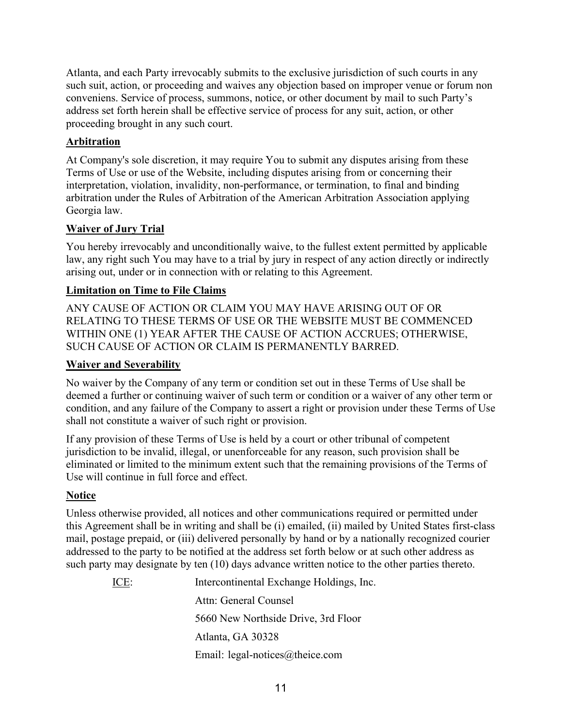Atlanta, and each Party irrevocably submits to the exclusive jurisdiction of such courts in any such suit, action, or proceeding and waives any objection based on improper venue or forum non conveniens. Service of process, summons, notice, or other document by mail to such Party's address set forth herein shall be effective service of process for any suit, action, or other proceeding brought in any such court.

# **Arbitration**

At Company's sole discretion, it may require You to submit any disputes arising from these Terms of Use or use of the Website, including disputes arising from or concerning their interpretation, violation, invalidity, non-performance, or termination, to final and binding arbitration under the Rules of Arbitration of the American Arbitration Association applying Georgia law.

## **Waiver of Jury Trial**

You hereby irrevocably and unconditionally waive, to the fullest extent permitted by applicable law, any right such You may have to a trial by jury in respect of any action directly or indirectly arising out, under or in connection with or relating to this Agreement.

## **Limitation on Time to File Claims**

ANY CAUSE OF ACTION OR CLAIM YOU MAY HAVE ARISING OUT OF OR RELATING TO THESE TERMS OF USE OR THE WEBSITE MUST BE COMMENCED WITHIN ONE (1) YEAR AFTER THE CAUSE OF ACTION ACCRUES; OTHERWISE, SUCH CAUSE OF ACTION OR CLAIM IS PERMANENTLY BARRED.

### **Waiver and Severability**

No waiver by the Company of any term or condition set out in these Terms of Use shall be deemed a further or continuing waiver of such term or condition or a waiver of any other term or condition, and any failure of the Company to assert a right or provision under these Terms of Use shall not constitute a waiver of such right or provision.

If any provision of these Terms of Use is held by a court or other tribunal of competent jurisdiction to be invalid, illegal, or unenforceable for any reason, such provision shall be eliminated or limited to the minimum extent such that the remaining provisions of the Terms of Use will continue in full force and effect.

# **Notice**

Unless otherwise provided, all notices and other communications required or permitted under this Agreement shall be in writing and shall be (i) emailed, (ii) mailed by United States first-class mail, postage prepaid, or (iii) delivered personally by hand or by a nationally recognized courier addressed to the party to be notified at the address set forth below or at such other address as such party may designate by ten (10) days advance written notice to the other parties thereto.

> ICE: Intercontinental Exchange Holdings, Inc. Attn: General Counsel 5660 New Northside Drive, 3rd Floor Atlanta, GA 30328 Email: legal-notices@theice.com